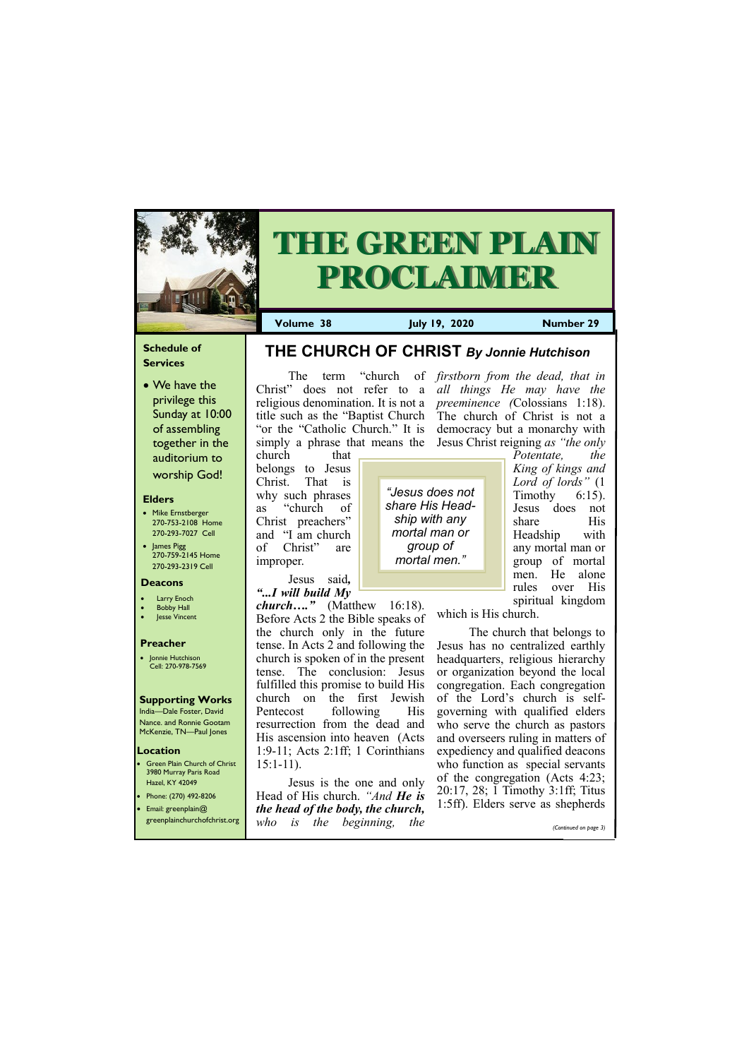### **Schedule of Services**

• We have the privilege this Sunday at 10:00 of assembling together in the auditorium to worship God!

#### **Elders**

**Green Plain Church of Christ** 3980 Murray Paris Road Hazel, KY 42049 • Phone: (270) 492-8206

- Mike Ernstberger 270-753-2108 Home 270-293-7027 Cell
- James Pigg 270-759-2145 Home 270-293-2319 Cell

#### **Location**



# **THE GREEN PLAIN PROCLAIMER**

**Volume 38 July 19, 2020 Number 29**

#### **Deacons**

- **Larry Enoch**
- **Bobby Hall**
- **Jesse Vincent**

#### **Preacher**

• Jonnie Hutchison Cell: 270-978-7569

#### **Supporting Works**

India—Dale Foster, David Nance. and Ronnie Gootam McKenzie, TN—Paul Jones

"or the "Catholic Church." It is church that

belongs to Jesus Christ. That is why such phrases as "church of Christ preachers" and "I am church of Christ" are improper.

Jesus said*, "...I will build My* 

The term "church of *firstborn from the dead, that in*  Christ" does not refer to a *all things He may have the*  religious denomination. It is not a *preeminence (*Colossians 1:18). title such as the "Baptist Church The church of Christ is not a simply a phrase that means the Jesus Christ reigning *as "the only*  democracy but a monarchy with

*church…."* (Matthew 16:18). Before Acts 2 the Bible speaks of the church only in the future tense. In Acts 2 and following the church is spoken of in the present tense. The conclusion: Jesus fulfilled this promise to build His church on the first Jewish Pentecost following His resurrection from the dead and His ascension into heaven (Acts 1:9-11; Acts 2:1ff; 1 Corinthians 15:1-11).

| • Email: greenplain $@$      | $\frac{1}{2}$<br>the head of the body, the church, |  |  |                       | 1:5ff). Elders serve as shepherds |                       |
|------------------------------|----------------------------------------------------|--|--|-----------------------|-----------------------------------|-----------------------|
| greenplainchurchofchrist.org |                                                    |  |  | who is the beginning, | the                               | (Continued on page 3) |

Jesus is the one and only Head of His church. *"And He is*  *Potentate, the King of kings and Lord of lords"* (1 Timothy  $6:15$ ). Jesus does not share His Headship with any mortal man or group of mortal men. He alone rules over His spiritual kingdom

which is His church.

The church that belongs to Jesus has no centralized earthly headquarters, religious hierarchy or organization beyond the local congregation. Each congregation of the Lord's church is selfgoverning with qualified elders who serve the church as pastors and overseers ruling in matters of expediency and qualified deacons who function as special servants of the congregation (Acts 4:23; 20:17, 28; 1 Timothy 3:1ff; Titus

**THE CHURCH OF CHRIST** *By Jonnie Hutchison*

*"Jesus does not share His Headship with any mortal man or group of mortal men."*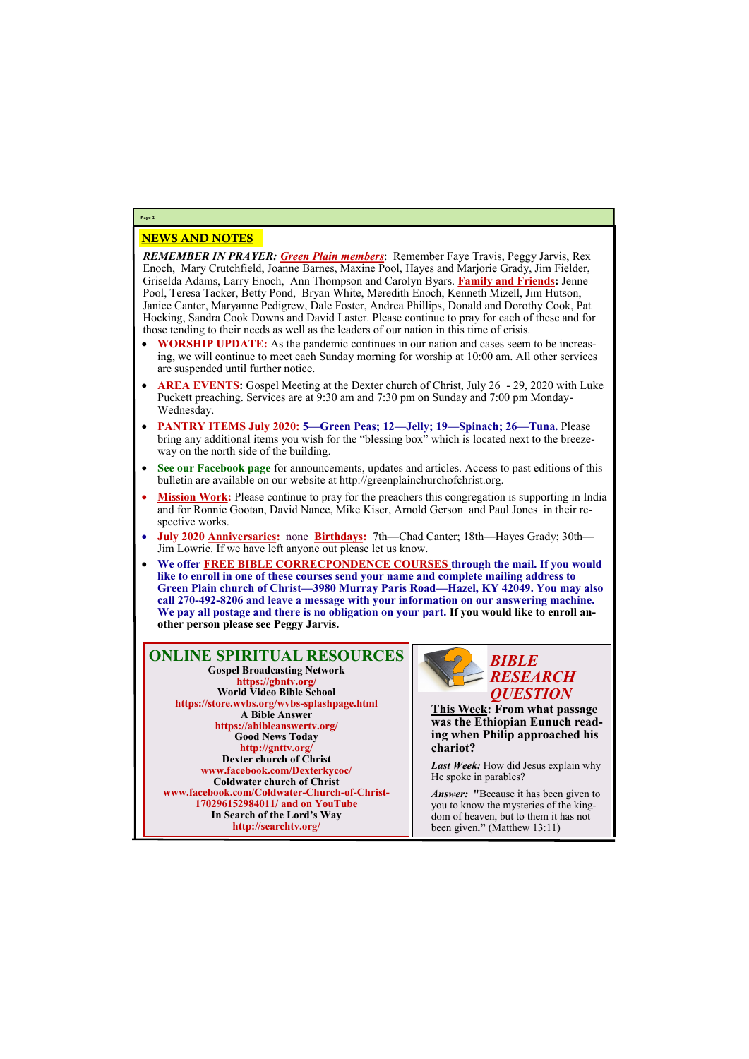## NEWS AND NOTES

*REMEMBER IN PRAYER: Green Plain members*: Remember Faye Travis, Peggy Jarvis, Rex Enoch, Mary Crutchfield, Joanne Barnes, Maxine Pool, Hayes and Marjorie Grady, Jim Fielder, Griselda Adams, Larry Enoch, Ann Thompson and Carolyn Byars. **Family and Friends:** Jenne Pool, Teresa Tacker, Betty Pond, Bryan White, Meredith Enoch, Kenneth Mizell, Jim Hutson, Janice Canter, Maryanne Pedigrew, Dale Foster, Andrea Phillips, Donald and Dorothy Cook, Pat Hocking, Sandra Cook Downs and David Laster. Please continue to pray for each of these and for those tending to their needs as well as the leaders of our nation in this time of crisis.

- **WORSHIP UPDATE:** As the pandemic continues in our nation and cases seem to be increasing, we will continue to meet each Sunday morning for worship at 10:00 am. All other services are suspended until further notice.
- **AREA EVENTS:** Gospel Meeting at the Dexter church of Christ, July 26 29, 2020 with Luke Puckett preaching. Services are at 9:30 am and 7:30 pm on Sunday and 7:00 pm Monday-Wednesday.
- **PANTRY ITEMS July 2020: 5—Green Peas; 12—Jelly; 19—Spinach; 26—Tuna.** Please bring any additional items you wish for the "blessing box" which is located next to the breezeway on the north side of the building.
- **See our Facebook page** for announcements, updates and articles. Access to past editions of this bulletin are available on our website at http://greenplainchurchofchrist.org.
- **Mission Work:** Please continue to pray for the preachers this congregation is supporting in India and for Ronnie Gootan, David Nance, Mike Kiser, Arnold Gerson and Paul Jones in their respective works.
- **July 2020 Anniversaries:** none **Birthdays:** 7th—Chad Canter; 18th—Hayes Grady; 30th— Jim Lowrie. If we have left anyone out please let us know.
- **We offer FREE BIBLE CORRECPONDENCE COURSES through the mail. If you would like to enroll in one of these courses send your name and complete mailing address to Green Plain church of Christ—3980 Murray Paris Road—Hazel, KY 42049. You may also call 270-492-8206 and leave a message with your information on our answering machine. We pay all postage and there is no obligation on your part. If you would like to enroll another person please see Peggy Jarvis.**

**Page 2**

**ONLINE SPIRITUAL RESOURCES Gospel Broadcasting Network https://gbntv.org/ World Video Bible School https://store.wvbs.org/wvbs-splashpage.html A Bible Answer https://abibleanswertv.org/ Good News Today http://gnttv.org/ Dexter church of Christ www.facebook.com/Dexterkycoc/ Coldwater church of Christ www.facebook.com/Coldwater-Church-of-Christ-**

> **170296152984011/ and on YouTube In Search of the Lord's Way http://searchtv.org/**



**This Week: From what passage was the Ethiopian Eunuch reading when Philip approached his chariot?**

*Last Week:* How did Jesus explain why He spoke in parables?

*Answer:* **"**Because it has been given to

you to know the mysteries of the kingdom of heaven, but to them it has not been given**."** (Matthew 13:11)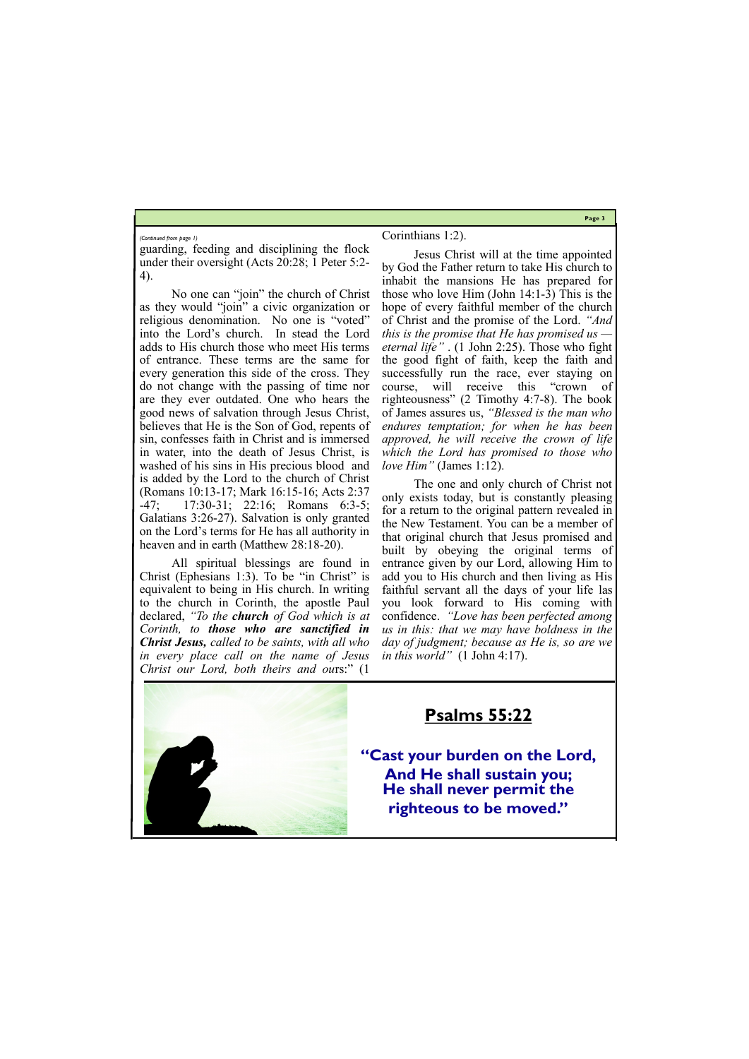**Page 3**

guarding, feeding and disciplining the flock under their oversight (Acts 20:28; 1 Peter 5:2- 4).

No one can "join" the church of Christ as they would "join" a civic organization or religious denomination. No one is "voted" into the Lord's church. In stead the Lord adds to His church those who meet His terms of entrance. These terms are the same for every generation this side of the cross. They do not change with the passing of time nor are they ever outdated. One who hears the good news of salvation through Jesus Christ, believes that He is the Son of God, repents of sin, confesses faith in Christ and is immersed in water, into the death of Jesus Christ, is washed of his sins in His precious blood and is added by the Lord to the church of Christ (Romans 10:13-17; Mark 16:15-16; Acts 2:37 -47; 17:30-31; 22:16; Romans 6:3-5; Galatians 3:26-27). Salvation is only granted on the Lord's terms for He has all authority in heaven and in earth (Matthew 28:18-20).

All spiritual blessings are found in Christ (Ephesians 1:3). To be "in Christ" is equivalent to being in His church. In writing to the church in Corinth, the apostle Paul declared, *"To the church of God which is at Corinth, to those who are sanctified in Christ Jesus, called to be saints, with all who in every place call on the name of Jesus Christ our Lord, both theirs and ou*rs:" (1

#### Corinthians 1:2).

Jesus Christ will at the time appointed by God the Father return to take His church to inhabit the mansions He has prepared for those who love Him (John 14:1-3) This is the hope of every faithful member of the church of Christ and the promise of the Lord. *"And this is the promise that He has promised us eternal life"* . (1 John 2:25). Those who fight the good fight of faith, keep the faith and successfully run the race, ever staying on course, will receive this "crown of righteousness" (2 Timothy 4:7-8). The book of James assures us, *"Blessed is the man who endures temptation; for when he has been approved, he will receive the crown of life which the Lord has promised to those who love Him"* (James 1:12).

The one and only church of Christ not only exists today, but is constantly pleasing for a return to the original pattern revealed in the New Testament. You can be a member of that original church that Jesus promised and built by obeying the original terms of entrance given by our Lord, allowing Him to add you to His church and then living as His faithful servant all the days of your life las you look forward to His coming with confidence. *"Love has been perfected among us in this: that we may have boldness in the day of judgment; because as He is, so are we in this world"* (1 John 4:17).



#### *(Continued from page 1)*

### **Psalms 55:22**

**"Cast your burden on the Lord, And He shall sustain you; He shall never permit the** 

### **righteous to be moved."**